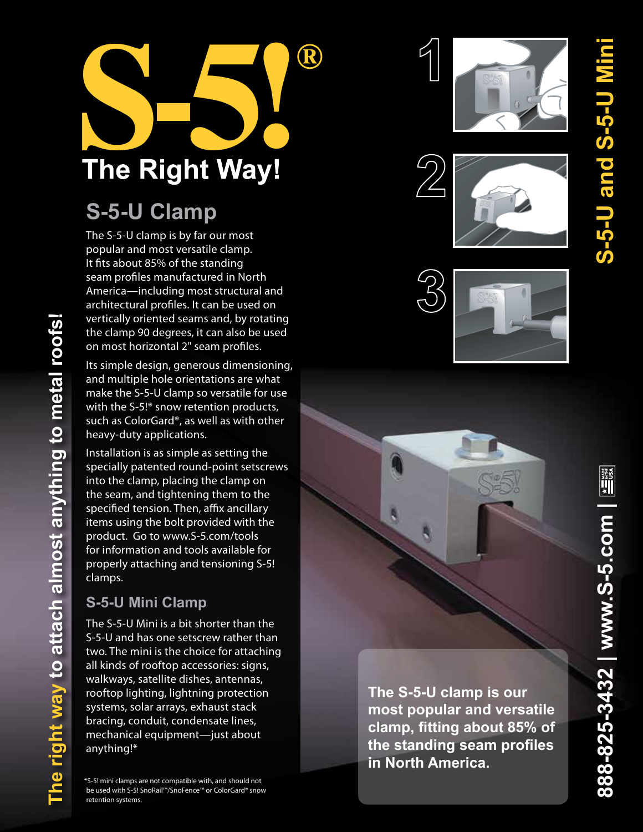

# **S-5-U Clamp**

The S-5-U clamp is by far our most popular and most versatile clamp. It fits about 85% of the standing seam profiles manufactured in North America—including most structural and architectural profiles. It can be used on vertically oriented seams and, by rotating the clamp 90 degrees, it can also be used on most horizontal 2" seam profiles.

Its simple design, generous dimensioning, and multiple hole orientations are what make the S-5-U clamp so versatile for use with the S-5!® snow retention products, such as ColorGard®, as well as with other heavy-duty applications.

Installation is as simple as setting the specially patented round-point setscrews into the clamp, placing the clamp on the seam, and tightening them to the specified tension. Then, affix ancillary items using the bolt provided with the product. Go to www.S-5.com/tools for information and tools available for properly attaching and tensioning S-5! clamps.

## **S-5-U Mini Clamp**

The S-5-U Mini is a bit shorter than the S-5-U and has one setscrew rather than two. The mini is the choice for attaching all kinds of rooftop accessories: signs, walkways, satellite dishes, antennas, rooftop lighting, lightning protection systems, solar arrays, exhaust stack bracing, conduit, condensate lines, mechanical equipment—just about anything!\*

\*S-5! mini clamps are not compatible with, and should not be used with S-5! SnoRail™/SnoFence™ or ColorGard® snow retention systems.











**The S-5-U clamp is our most popular and versatile clamp, fitting about 85% of the standing seam profiles in North America.**

**S-5-U and S-5-U Mini**

**S-5-U and S-5-U I**